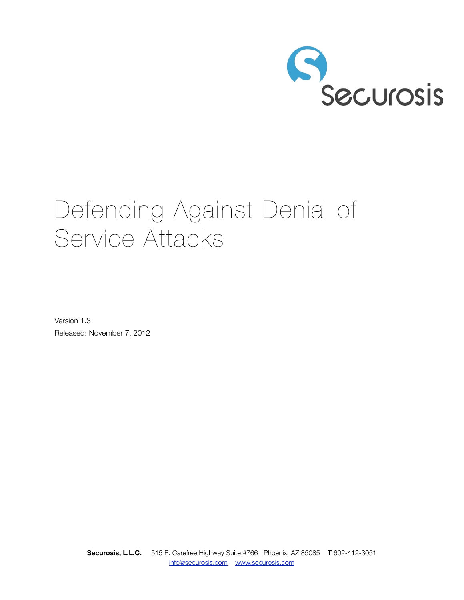

# Defending Against Denial of Service Attacks

Version 1.3 Released: November 7, 2012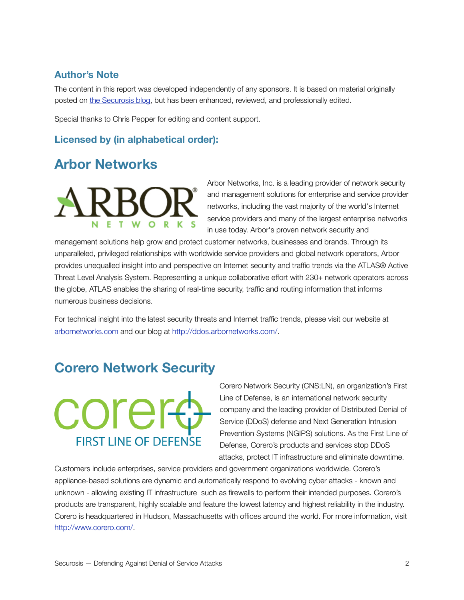### **Author's Note**

The content in this report was developed independently of any sponsors. It is based on material originally posted on [the Securosis blog](http://livepage.apple.com/), but has been enhanced, reviewed, and professionally edited.

Special thanks to Chris Pepper for editing and content support.

### **Licensed by (in alphabetical order):**

# **Arbor Networks**



Arbor Networks, Inc. is a leading provider of network security and management solutions for enterprise and service provider networks, including the vast majority of the world's Internet service providers and many of the largest enterprise networks in use today. Arbor's proven network security and

management solutions help grow and protect customer networks, businesses and brands. Through its unparalleled, privileged relationships with worldwide service providers and global network operators, Arbor provides unequalled insight into and perspective on Internet security and traffic trends via the ATLAS® Active Threat Level Analysis System. Representing a unique collaborative effort with 230+ network operators across the globe, ATLAS enables the sharing of real-time security, traffic and routing information that informs numerous business decisions.

For technical insight into the latest security threats and Internet traffic trends, please visit our website at [arbornetworks.com](http://arbornetworks.com/) and our blog at [http://ddos.arbornetworks.com/](http://ddos.arbornetworks.com).

# **Corero Network Security**



Corero Network Security (CNS:LN), an organization's First Line of Defense, is an international network security company and the leading provider of Distributed Denial of Service (DDoS) defense and Next Generation Intrusion Prevention Systems (NGIPS) solutions. As the First Line of Defense, Corero's products and services stop DDoS attacks, protect IT infrastructure and eliminate downtime.

Customers include enterprises, service providers and government organizations worldwide. Corero's appliance-based solutions are dynamic and automatically respond to evolving cyber attacks - known and unknown - allowing existing IT infrastructure such as firewalls to perform their intended purposes. Corero's products are transparent, highly scalable and feature the lowest latency and highest reliability in the industry. Corero is headquartered in Hudson, Massachusetts with offices around the world. For more information, visit [http://www.corero.com/.](http://www.corero.com/)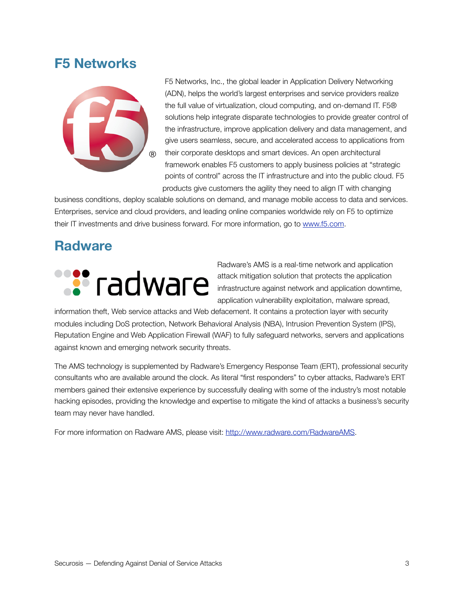# **F5 Networks**



F5 Networks, Inc., the global leader in Application Delivery Networking (ADN), helps the world's largest enterprises and service providers realize the full value of virtualization, cloud computing, and on-demand IT. F5® solutions help integrate disparate technologies to provide greater control of the infrastructure, improve application delivery and data management, and give users seamless, secure, and accelerated access to applications from their corporate desktops and smart devices. An open architectural framework enables F5 customers to apply business policies at "strategic points of control" across the IT infrastructure and into the public cloud. F5 products give customers the agility they need to align IT with changing

business conditions, deploy scalable solutions on demand, and manage mobile access to data and services. Enterprises, service and cloud providers, and leading online companies worldwide rely on F5 to optimize their IT investments and drive business forward. For more information, go to [www.f5.com](http://www.f5.com/).

# **Radware**



Radware's AMS is a real-time network and application attack mitigation solution that protects the application infrastructure against network and application downtime, application vulnerability exploitation, malware spread,

information theft, Web service attacks and Web defacement. It contains a protection layer with security modules including DoS protection, Network Behavioral Analysis (NBA), Intrusion Prevention System (IPS), Reputation Engine and Web Application Firewall (WAF) to fully safeguard networks, servers and applications against known and emerging network security threats.

The AMS technology is supplemented by Radware's Emergency Response Team (ERT), professional security consultants who are available around the clock. As literal "first responders" to cyber attacks, Radware's ERT members gained their extensive experience by successfully dealing with some of the industry's most notable hacking episodes, providing the knowledge and expertise to mitigate the kind of attacks a business's security team may never have handled.

For more information on Radware AMS, please visit: [http://www.radware.com/RadwareAMS](http://www.radware.com/Products/ApplicationNetworkSecurity/default.aspx).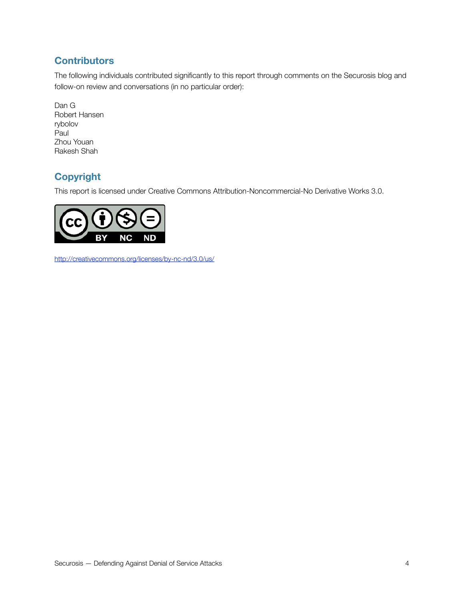# **Contributors**

The following individuals contributed significantly to this report through comments on the Securosis blog and follow-on review and conversations (in no particular order):

Dan G Robert Hansen rybolov Paul Zhou Youan Rakesh Shah

# **Copyright**

This report is licensed under Creative Commons Attribution-Noncommercial-No Derivative Works 3.0.



<http://creativecommons.org/licenses/by-nc-nd/3.0/us/>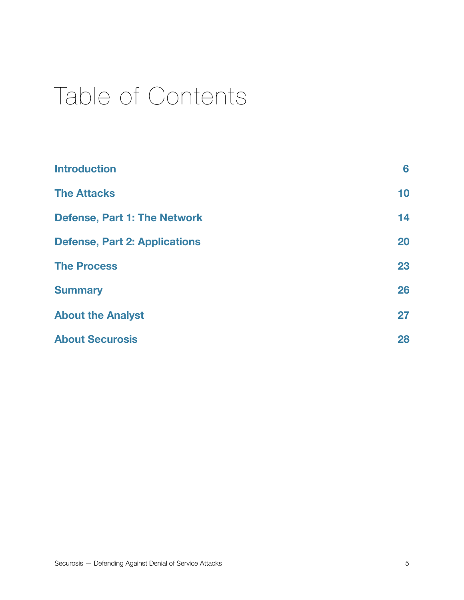# Table of Contents

| <b>Introduction</b>                  | 6  |
|--------------------------------------|----|
| <b>The Attacks</b>                   | 10 |
| <b>Defense, Part 1: The Network</b>  | 14 |
| <b>Defense, Part 2: Applications</b> | 20 |
| <b>The Process</b>                   | 23 |
| <b>Summary</b>                       | 26 |
| <b>About the Analyst</b>             | 27 |
| <b>About Securosis</b>               | 28 |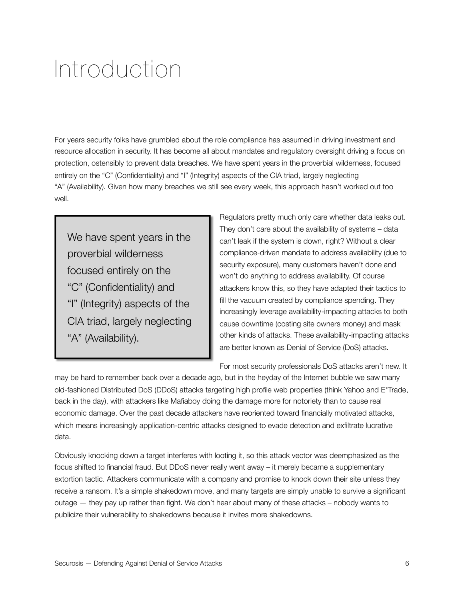# <span id="page-5-0"></span>Introduction

For years security folks have grumbled about the role compliance has assumed in driving investment and resource allocation in security. It has become all about mandates and regulatory oversight driving a focus on protection, ostensibly to prevent data breaches. We have spent years in the proverbial wilderness, focused entirely on the "C" (Confidentiality) and "I" (Integrity) aspects of the CIA triad, largely neglecting "A" (Availability). Given how many breaches we still see every week, this approach hasn't worked out too well.

We have spent years in the proverbial wilderness focused entirely on the "C" (Confidentiality) and "I" (Integrity) aspects of the CIA triad, largely neglecting "A" (Availability).

Regulators pretty much only care whether data leaks out. They don't care about the availability of systems – data can't leak if the system is down, right? Without a clear compliance-driven mandate to address availability (due to security exposure), many customers haven't done and won't do anything to address availability. Of course attackers know this, so they have adapted their tactics to fill the vacuum created by compliance spending. They increasingly leverage availability-impacting attacks to both cause downtime (costing site owners money) and mask other kinds of attacks. These availability-impacting attacks are better known as Denial of Service (DoS) attacks.

For most security professionals DoS attacks aren't new. It

may be hard to remember back over a decade ago, but in the heyday of the Internet bubble we saw many old-fashioned Distributed DoS (DDoS) attacks targeting high profile web properties (think Yahoo and E\*Trade, back in the day), with attackers like Mafiaboy doing the damage more for notoriety than to cause real economic damage. Over the past decade attackers have reoriented toward financially motivated attacks, which means increasingly application-centric attacks designed to evade detection and exfiltrate lucrative data.

Obviously knocking down a target interferes with looting it, so this attack vector was deemphasized as the focus shifted to financial fraud. But DDoS never really went away – it merely became a supplementary extortion tactic. Attackers communicate with a company and promise to knock down their site unless they receive a ransom. It's a simple shakedown move, and many targets are simply unable to survive a significant outage — they pay up rather than fight. We don't hear about many of these attacks – nobody wants to publicize their vulnerability to shakedowns because it invites more shakedowns.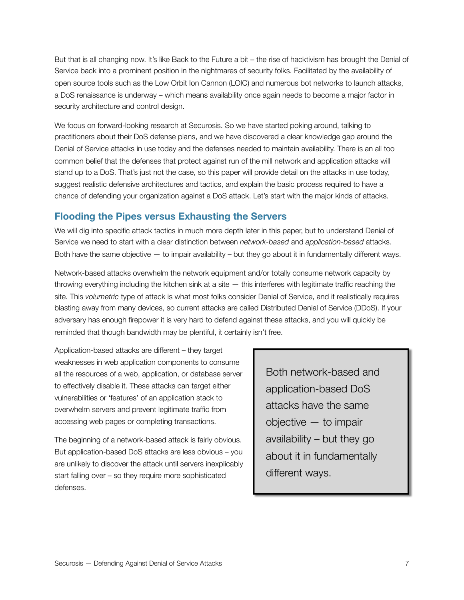But that is all changing now. It's like Back to the Future a bit – the rise of hacktivism has brought the Denial of Service back into a prominent position in the nightmares of security folks. Facilitated by the availability of open source tools such as the Low Orbit Ion Cannon (LOIC) and numerous bot networks to launch attacks, a DoS renaissance is underway – which means availability once again needs to become a major factor in security architecture and control design.

We focus on forward-looking research at Securosis. So we have started poking around, talking to practitioners about their DoS defense plans, and we have discovered a clear knowledge gap around the Denial of Service attacks in use today and the defenses needed to maintain availability. There is an all too common belief that the defenses that protect against run of the mill network and application attacks will stand up to a DoS. That's just not the case, so this paper will provide detail on the attacks in use today, suggest realistic defensive architectures and tactics, and explain the basic process required to have a chance of defending your organization against a DoS attack. Let's start with the major kinds of attacks.

### **Flooding the Pipes versus Exhausting the Servers**

We will dig into specific attack tactics in much more depth later in this paper, but to understand Denial of Service we need to start with a clear distinction between *network-based* and *application-based* attacks. Both have the same objective — to impair availability – but they go about it in fundamentally different ways.

Network-based attacks overwhelm the network equipment and/or totally consume network capacity by throwing everything including the kitchen sink at a site — this interferes with legitimate traffic reaching the site. This *volumetric* type of attack is what most folks consider Denial of Service, and it realistically requires blasting away from many devices, so current attacks are called Distributed Denial of Service (DDoS). If your adversary has enough firepower it is very hard to defend against these attacks, and you will quickly be reminded that though bandwidth may be plentiful, it certainly isn't free.

Application-based attacks are different – they target weaknesses in web application components to consume all the resources of a web, application, or database server to effectively disable it. These attacks can target either vulnerabilities or 'features' of an application stack to overwhelm servers and prevent legitimate traffic from accessing web pages or completing transactions.

The beginning of a network-based attack is fairly obvious. But application-based DoS attacks are less obvious – you are unlikely to discover the attack until servers inexplicably start falling over – so they require more sophisticated defenses.

Both network-based and application-based DoS attacks have the same objective — to impair availability – but they go about it in fundamentally different ways.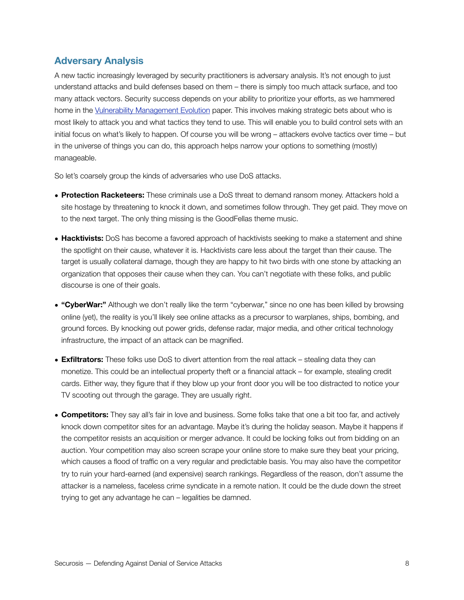#### **Adversary Analysis**

A new tactic increasingly leveraged by security practitioners is adversary analysis. It's not enough to just understand attacks and build defenses based on them – there is simply too much attack surface, and too many attack vectors. Security success depends on your ability to prioritize your efforts, as we hammered home in the [Vulnerability Management Evolution](https://securosis.com/research/publication/vulnerability-management-evolution-from-tactical-scanner-to-strategic-platf) paper. This involves making strategic bets about who is most likely to attack you and what tactics they tend to use. This will enable you to build control sets with an initial focus on what's likely to happen. Of course you will be wrong – attackers evolve tactics over time – but in the universe of things you can do, this approach helps narrow your options to something (mostly) manageable.

So let's coarsely group the kinds of adversaries who use DoS attacks.

- **Protection Racketeers:** These criminals use a DoS threat to demand ransom money. Attackers hold a site hostage by threatening to knock it down, and sometimes follow through. They get paid. They move on to the next target. The only thing missing is the GoodFellas theme music.
- **Hacktivists:** DoS has become a favored approach of hacktivists seeking to make a statement and shine the spotlight on their cause, whatever it is. Hacktivists care less about the target than their cause. The target is usually collateral damage, though they are happy to hit two birds with one stone by attacking an organization that opposes their cause when they can. You can't negotiate with these folks, and public discourse is one of their goals.
- **"CyberWar:"** Although we don't really like the term "cyberwar," since no one has been killed by browsing online (yet), the reality is you'll likely see online attacks as a precursor to warplanes, ships, bombing, and ground forces. By knocking out power grids, defense radar, major media, and other critical technology infrastructure, the impact of an attack can be magnified.
- **Exfiltrators:** These folks use DoS to divert attention from the real attack stealing data they can monetize. This could be an intellectual property theft or a financial attack – for example, stealing credit cards. Either way, they figure that if they blow up your front door you will be too distracted to notice your TV scooting out through the garage. They are usually right.
- **Competitors:** They say all's fair in love and business. Some folks take that one a bit too far, and actively knock down competitor sites for an advantage. Maybe it's during the holiday season. Maybe it happens if the competitor resists an acquisition or merger advance. It could be locking folks out from bidding on an auction. Your competition may also screen scrape your online store to make sure they beat your pricing, which causes a flood of traffic on a very regular and predictable basis. You may also have the competitor try to ruin your hard-earned (and expensive) search rankings. Regardless of the reason, don't assume the attacker is a nameless, faceless crime syndicate in a remote nation. It could be the dude down the street trying to get any advantage he can – legalities be damned.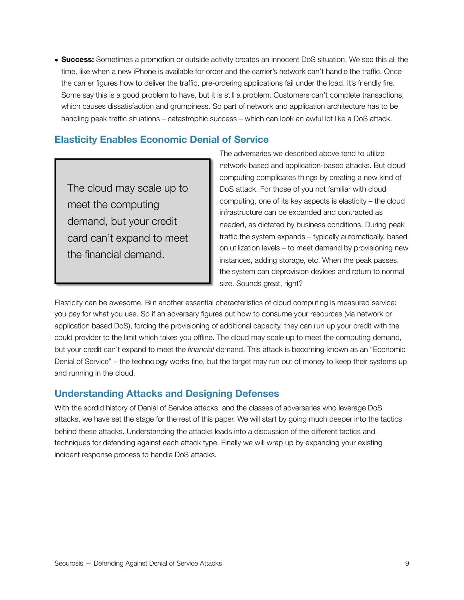• **Success:** Sometimes a promotion or outside activity creates an innocent DoS situation. We see this all the time, like when a new iPhone is available for order and the carrier's network can't handle the traffic. Once the carrier figures how to deliver the traffic, pre-ordering applications fail under the load. It's friendly fire. Some say this is a good problem to have, but it is still a problem. Customers can't complete transactions, which causes dissatisfaction and grumpiness. So part of network and application architecture has to be handling peak traffic situations – catastrophic success – which can look an awful lot like a DoS attack.

#### **Elasticity Enables Economic Denial of Service**

The cloud may scale up to meet the computing demand, but your credit card can't expand to meet the financial demand.

The adversaries we described above tend to utilize network-based and application-based attacks. But cloud computing complicates things by creating a new kind of DoS attack. For those of you not familiar with cloud computing, one of its key aspects is elasticity – the cloud infrastructure can be expanded and contracted as needed, as dictated by business conditions. During peak traffic the system expands – typically automatically, based on utilization levels – to meet demand by provisioning new instances, adding storage, etc. When the peak passes, the system can deprovision devices and return to normal size. Sounds great, right?

Elasticity can be awesome. But another essential characteristics of cloud computing is measured service: you pay for what you use. So if an adversary figures out how to consume your resources (via network or application based DoS), forcing the provisioning of additional capacity, they can run up your credit with the could provider to the limit which takes you offline. The cloud may scale up to meet the computing demand, but your credit can't expand to meet the *financial* demand. This attack is becoming known as an "Economic Denial of Service" – the technology works fine, but the target may run out of money to keep their systems up and running in the cloud.

#### **Understanding Attacks and Designing Defenses**

With the sordid history of Denial of Service attacks, and the classes of adversaries who leverage DoS attacks, we have set the stage for the rest of this paper. We will start by going much deeper into the tactics behind these attacks. Understanding the attacks leads into a discussion of the different tactics and techniques for defending against each attack type. Finally we will wrap up by expanding your existing incident response process to handle DoS attacks.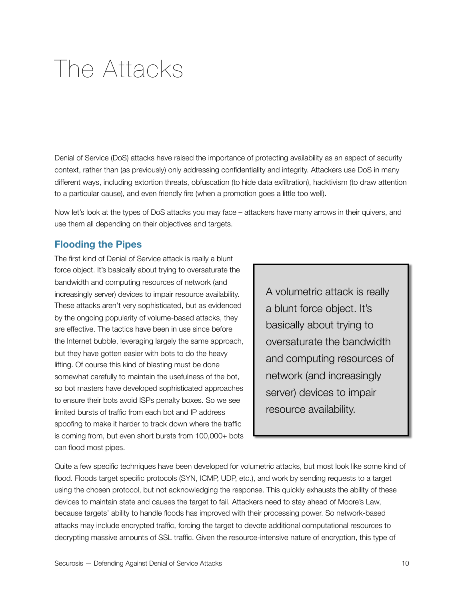# <span id="page-9-0"></span>The Attacks

Denial of Service (DoS) attacks have raised the importance of protecting availability as an aspect of security context, rather than (as previously) only addressing confidentiality and integrity. Attackers use DoS in many different ways, including extortion threats, obfuscation (to hide data exfiltration), hacktivism (to draw attention to a particular cause), and even friendly fire (when a promotion goes a little too well).

Now let's look at the types of DoS attacks you may face – attackers have many arrows in their quivers, and use them all depending on their objectives and targets.

#### **Flooding the Pipes**

The first kind of Denial of Service attack is really a blunt force object. It's basically about trying to oversaturate the bandwidth and computing resources of network (and increasingly server) devices to impair resource availability. These attacks aren't very sophisticated, but as evidenced by the ongoing popularity of volume-based attacks, they are effective. The tactics have been in use since before the Internet bubble, leveraging largely the same approach, but they have gotten easier with bots to do the heavy lifting. Of course this kind of blasting must be done somewhat carefully to maintain the usefulness of the bot, so bot masters have developed sophisticated approaches to ensure their bots avoid ISPs penalty boxes. So we see limited bursts of traffic from each bot and IP address spoofing to make it harder to track down where the traffic is coming from, but even short bursts from 100,000+ bots can flood most pipes.

A volumetric attack is really a blunt force object. It's basically about trying to oversaturate the bandwidth and computing resources of network (and increasingly server) devices to impair resource availability.

Quite a few specific techniques have been developed for volumetric attacks, but most look like some kind of flood. Floods target specific protocols (SYN, ICMP, UDP, etc.), and work by sending requests to a target using the chosen protocol, but not acknowledging the response. This quickly exhausts the ability of these devices to maintain state and causes the target to fail. Attackers need to stay ahead of Moore's Law, because targets' ability to handle floods has improved with their processing power. So network-based attacks may include encrypted traffic, forcing the target to devote additional computational resources to decrypting massive amounts of SSL traffic. Given the resource-intensive nature of encryption, this type of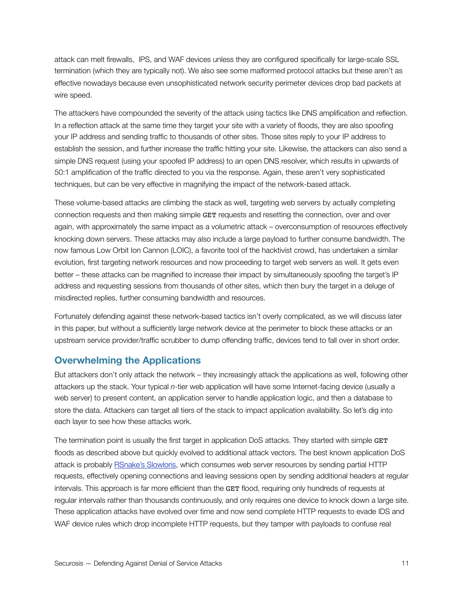attack can melt firewalls, IPS, and WAF devices unless they are configured specifically for large-scale SSL termination (which they are typically not). We also see some malformed protocol attacks but these aren't as effective nowadays because even unsophisticated network security perimeter devices drop bad packets at wire speed.

The attackers have compounded the severity of the attack using tactics like DNS amplification and reflection. In a reflection attack at the same time they target your site with a variety of floods, they are also spoofing your IP address and sending traffic to thousands of other sites. Those sites reply to your IP address to establish the session, and further increase the traffic hitting your site. Likewise, the attackers can also send a simple DNS request (using your spoofed IP address) to an open DNS resolver, which results in upwards of 50:1 amplification of the traffic directed to you via the response. Again, these aren't very sophisticated techniques, but can be very effective in magnifying the impact of the network-based attack.

These volume-based attacks are climbing the stack as well, targeting web servers by actually completing connection requests and then making simple GET requests and resetting the connection, over and over again, with approximately the same impact as a volumetric attack – overconsumption of resources effectively knocking down servers. These attacks may also include a large payload to further consume bandwidth. The now famous [Low Orbit Ion Cannon](http://en.wikipedia.org/wiki/Low_Orbit_Ion_Cannon) (LOIC), a favorite tool of the hacktivist crowd, has undertaken a similar evolution, first targeting network resources and now proceeding to target web servers as well. It gets even better – these attacks can be magnified to increase their impact by simultaneously spoofing the target's IP address and requesting sessions from thousands of other sites, which then bury the target in a deluge of misdirected replies, further consuming bandwidth and resources.

Fortunately defending against these network-based tactics isn't overly complicated, as we will discuss later in this paper, but without a sufficiently large network device at the perimeter to block these attacks or an upstream service provider/traffic scrubber to dump offending traffic, devices tend to fall over in short order.

#### **Overwhelming the Applications**

But attackers don't only attack the network – they increasingly attack the applications as well, following other attackers up the stack. Your typical *n*-tier web application will have some Internet-facing device (usually a web server) to present content, an application server to handle application logic, and then a database to store the data. Attackers can target all tiers of the stack to impact application availability. So let's dig into each layer to see how these attacks work.

The termination point is usually the first target in application DoS attacks. They started with simple GET floods as described above but quickly evolved to additional attack vectors. The best known application DoS attack is probably [RSnake's Slowloris](http://ha.ckers.org/slowloris/), which consumes web server resources by sending partial HTTP requests, effectively opening connections and leaving sessions open by sending additional headers at regular intervals. This approach is far more efficient than the GET flood, requiring only hundreds of requests at regular intervals rather than thousands continuously, and only requires one device to knock down a large site. These application attacks have evolved over time and now send complete HTTP requests to evade IDS and WAF device rules which drop incomplete HTTP requests, but they tamper with payloads to confuse real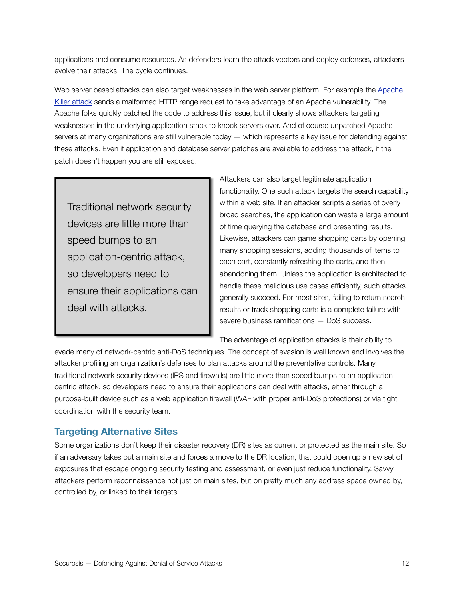applications and consume resources. As defenders learn the attack vectors and deploy defenses, attackers evolve their attacks. The cycle continues.

Web server based attacks can also target weaknesses in the web server platform. For example the Apache [Killer attack](https://issues.apache.org/bugzilla/show_bug.cgi?id=51714) sends a malformed HTTP range request to take advantage of an Apache vulnerability. The Apache folks quickly patched the code to address this issue, but it clearly shows attackers targeting weaknesses in the underlying application stack to knock servers over. And of course unpatched Apache servers at many organizations are still vulnerable today — which represents a key issue for defending against these attacks. Even if application and database server patches are available to address the attack, if the patch doesn't happen you are still exposed.

Traditional network security devices are little more than speed bumps to an application-centric attack, so developers need to ensure their applications can deal with attacks.

Attackers can also target legitimate application functionality. One such attack targets the search capability within a web site. If an attacker scripts a series of overly broad searches, the application can waste a large amount of time querying the database and presenting results. Likewise, attackers can game shopping carts by opening many shopping sessions, adding thousands of items to each cart, constantly refreshing the carts, and then abandoning them. Unless the application is architected to handle these malicious use cases efficiently, such attacks generally succeed. For most sites, failing to return search results or track shopping carts is a complete failure with severe business ramifications — DoS success.

The advantage of application attacks is their ability to

evade many of network-centric anti-DoS techniques. The concept of evasion is well known and involves the attacker profiling an organization's defenses to plan attacks around the preventative controls. Many traditional network security devices (IPS and firewalls) are little more than speed bumps to an applicationcentric attack, so developers need to ensure their applications can deal with attacks, either through a purpose-built device such as a web application firewall (WAF with proper anti-DoS protections) or via tight coordination with the security team.

### **Targeting Alternative Sites**

Some organizations don't keep their disaster recovery (DR) sites as current or protected as the main site. So if an adversary takes out a main site and forces a move to the DR location, that could open up a new set of exposures that escape ongoing security testing and assessment, or even just reduce functionality. Savvy attackers perform reconnaissance not just on main sites, but on pretty much any address space owned by, controlled by, or linked to their targets.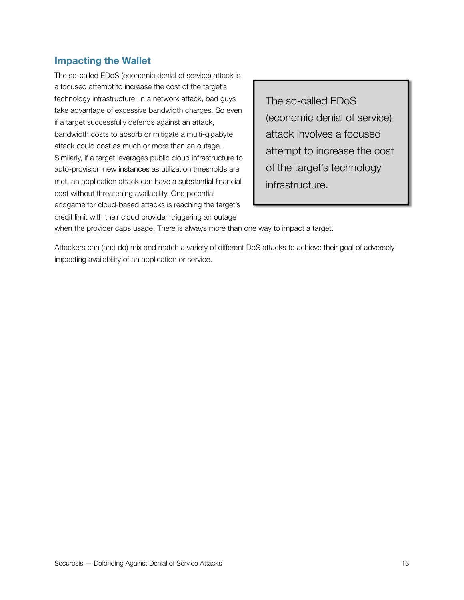### **Impacting the Wallet**

The so-called EDoS (economic denial of service) attack is a focused attempt to increase the cost of the target's technology infrastructure. In a network attack, bad guys take advantage of excessive bandwidth charges. So even if a target successfully defends against an attack, bandwidth costs to absorb or mitigate a multi-gigabyte attack could cost as much or more than an outage. Similarly, if a target leverages public cloud infrastructure to auto-provision new instances as utilization thresholds are met, an application attack can have a substantial financial cost without threatening availability. One potential endgame for cloud-based attacks is reaching the target's credit limit with their cloud provider, triggering an outage

The so-called EDoS (economic denial of service) attack involves a focused attempt to increase the cost of the target's technology infrastructure.

when the provider caps usage. There is always more than one way to impact a target.

Attackers can (and do) mix and match a variety of different DoS attacks to achieve their goal of adversely impacting availability of an application or service.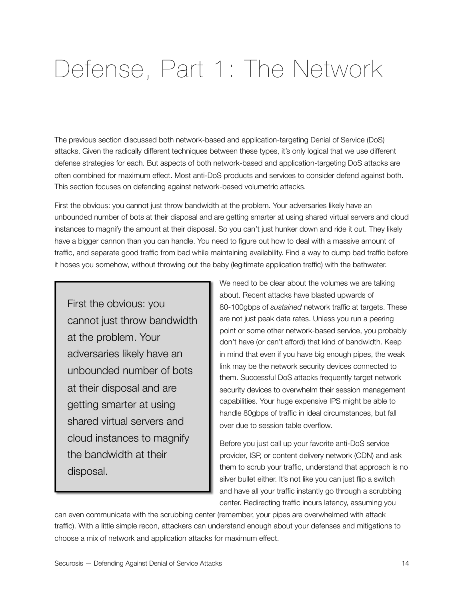# <span id="page-13-0"></span>Defense, Part 1: The Network

The previous section discussed both network-based and application-targeting Denial of Service (DoS) attacks. Given the radically different techniques between these types, it's only logical that we use different defense strategies for each. But aspects of both network-based and application-targeting DoS attacks are often combined for maximum effect. Most anti-DoS products and services to consider defend against both. This section focuses on defending against network-based volumetric attacks.

First the obvious: you cannot just throw bandwidth at the problem. Your adversaries likely have an unbounded number of bots at their disposal and are getting smarter at using shared virtual servers and cloud instances to magnify the amount at their disposal. So you can't just hunker down and ride it out. They likely have a bigger cannon than you can handle. You need to figure out how to deal with a massive amount of traffic, and separate good traffic from bad while maintaining availability. Find a way to dump bad traffic before it hoses you somehow, without throwing out the baby (legitimate application traffic) with the bathwater.

First the obvious: you cannot just throw bandwidth at the problem. Your adversaries likely have an unbounded number of bots at their disposal and are getting smarter at using shared virtual servers and cloud instances to magnify the bandwidth at their disposal.

We need to be clear about the volumes we are talking about. Recent attacks have blasted upwards of 80-100gbps of *sustained* network traffic at targets. These are not just peak data rates. Unless you run a peering point or some other network-based service, you probably don't have (or can't afford) that kind of bandwidth. Keep in mind that even if you have big enough pipes, the weak link may be the network security devices connected to them. Successful DoS attacks frequently target network security devices to overwhelm their session management capabilities. Your huge expensive IPS might be able to handle 80gbps of traffic in ideal circumstances, but fall over due to session table overflow.

Before you just call up your favorite anti-DoS service provider, ISP, or content delivery network (CDN) and ask them to scrub your traffic, understand that approach is no silver bullet either. It's not like you can just flip a switch and have all your traffic instantly go through a scrubbing center. Redirecting traffic incurs latency, assuming you

can even communicate with the scrubbing center (remember, your pipes are overwhelmed with attack traffic). With a little simple recon, attackers can understand enough about your defenses and mitigations to choose a mix of network and application attacks for maximum effect.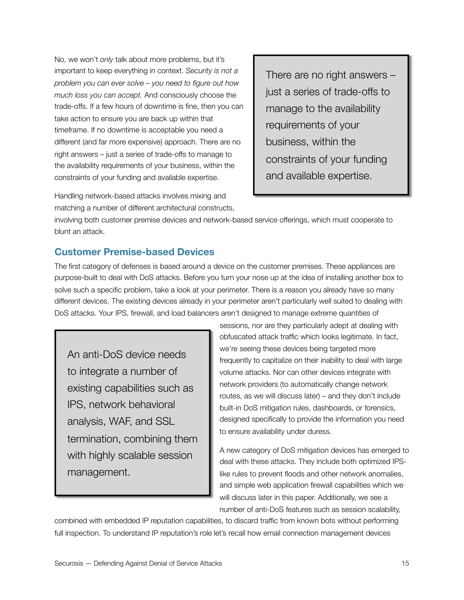No, we won't *only* talk about more problems, but it's important to keep everything in context. *Security is not a problem you can ever solve – you need to figure out how much loss you can accept.* And consciously choose the trade-offs. If a few hours of downtime is fine, then you can take action to ensure you are back up within that timeframe. If no downtime is acceptable you need a different (and far more expensive) approach. There are no right answers – just a series of trade-offs to manage to the availability requirements of your business, within the constraints of your funding and available expertise.

Handling network-based attacks involves mixing and matching a number of different architectural constructs,

There are no right answers – just a series of trade-offs to manage to the availability requirements of your business, within the constraints of your funding and available expertise.

involving both customer premise devices and network-based service offerings, which must cooperate to blunt an attack.

### **Customer Premise-based Devices**

The first category of defenses is based around a device on the customer premises. These appliances are purpose-built to deal with DoS attacks. Before you turn your nose up at the idea of installing another box to solve such a specific problem, take a look at your perimeter. There is a reason you already have so many different devices. The existing devices already in your perimeter aren't particularly well suited to dealing with DoS attacks. Your IPS, firewall, and load balancers aren't designed to manage extreme quantities of

An anti-DoS device needs to integrate a number of existing capabilities such as IPS, network behavioral analysis, WAF, and SSL termination, combining them with highly scalable session management.

sessions, nor are they particularly adept at dealing with obfuscated attack traffic which looks legitimate. In fact, we're seeing these devices being targeted more frequently to capitalize on their inability to deal with large volume attacks. Nor can other devices integrate with network providers (to automatically change network routes, as we will discuss later) – and they don't include built-in DoS mitigation rules, dashboards, or forensics, designed specifically to provide the information you need to ensure availability under duress.

A new category of DoS mitigation devices has emerged to deal with these attacks. They include both optimized IPSlike rules to prevent floods and other network anomalies, and simple web application firewall capabilities which we will discuss later in this paper. Additionally, we see a number of anti-DoS features such as session scalability,

combined with embedded IP reputation capabilities, to discard traffic from known bots without performing full inspection. To understand IP reputation's role let's recall how email connection management devices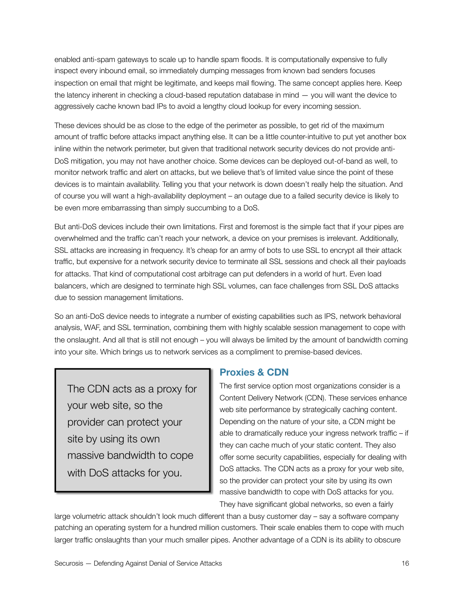enabled anti-spam gateways to scale up to handle spam floods. It is computationally expensive to fully inspect every inbound email, so immediately dumping messages from known bad senders focuses inspection on email that might be legitimate, and keeps mail flowing. The same concept applies here. Keep the latency inherent in checking a cloud-based reputation database in mind — you will want the device to aggressively cache known bad IPs to avoid a lengthy cloud lookup for every incoming session.

These devices should be as close to the edge of the perimeter as possible, to get rid of the maximum amount of traffic before attacks impact anything else. It can be a little counter-intuitive to put yet another box inline within the network perimeter, but given that traditional network security devices do not provide anti-DoS mitigation, you may not have another choice. Some devices can be deployed out-of-band as well, to monitor network traffic and alert on attacks, but we believe that's of limited value since the point of these devices is to maintain availability. Telling you that your network is down doesn't really help the situation. And of course you will want a high-availability deployment – an outage due to a failed security device is likely to be even more embarrassing than simply succumbing to a DoS.

But anti-DoS devices include their own limitations. First and foremost is the simple fact that if your pipes are overwhelmed and the traffic can't reach your network, a device on your premises is irrelevant. Additionally, SSL attacks are increasing in frequency. It's cheap for an army of bots to use SSL to encrypt all their attack traffic, but expensive for a network security device to terminate all SSL sessions and check all their payloads for attacks. That kind of computational cost arbitrage can put defenders in a world of hurt. Even load balancers, which are designed to terminate high SSL volumes, can face challenges from SSL DoS attacks due to session management limitations.

So an anti-DoS device needs to integrate a number of existing capabilities such as IPS, network behavioral analysis, WAF, and SSL termination, combining them with highly scalable session management to cope with the onslaught. And all that is still not enough – you will always be limited by the amount of bandwidth coming into your site. Which brings us to network services as a compliment to premise-based devices.

The CDN acts as a proxy for your web site, so the provider can protect your site by using its own massive bandwidth to cope with DoS attacks for you.

#### **Proxies & CDN**

The first service option most organizations consider is a Content Delivery Network (CDN). These services enhance web site performance by strategically caching content. Depending on the nature of your site, a CDN might be able to dramatically reduce your ingress network traffic – if they can cache much of your static content. They also offer some security capabilities, especially for dealing with DoS attacks. The CDN acts as a proxy for your web site, so the provider can protect your site by using its own massive bandwidth to cope with DoS attacks for you. They have significant global networks, so even a fairly

large volumetric attack shouldn't look much different than a busy customer day – say a software company patching an operating system for a hundred million customers. Their scale enables them to cope with much larger traffic onslaughts than your much smaller pipes. Another advantage of a CDN is its ability to obscure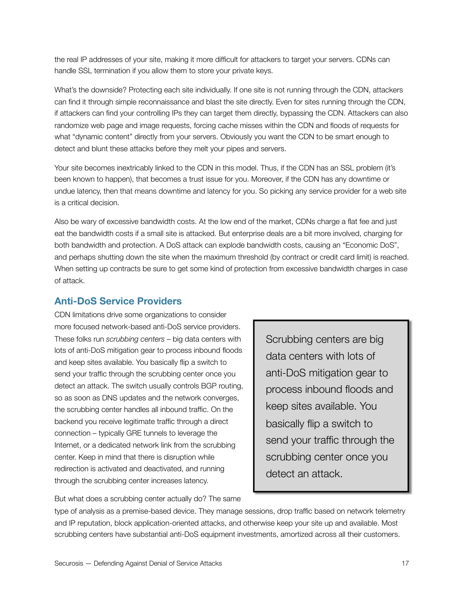the real IP addresses of your site, making it more difficult for attackers to target your servers. CDNs can handle SSL termination if you allow them to store your private keys.

What's the downside? Protecting each site individually. If one site is not running through the CDN, attackers can find it through simple reconnaissance and blast the site directly. Even for sites running through the CDN, if attackers can find your controlling IPs they can target them directly, bypassing the CDN. Attackers can also randomize web page and image requests, forcing cache misses within the CDN and floods of requests for what "dynamic content" directly from your servers. Obviously you want the CDN to be smart enough to detect and blunt these attacks before they melt your pipes and servers.

Your site becomes inextricably linked to the CDN in this model. Thus, if the CDN has an SSL problem (it's been known to happen), that becomes a trust issue for you. Moreover, if the CDN has any downtime or undue latency, then that means downtime and latency for you. So picking any service provider for a web site is a critical decision.

Also be wary of excessive bandwidth costs. At the low end of the market, CDNs charge a flat fee and just eat the bandwidth costs if a small site is attacked. But enterprise deals are a bit more involved, charging for both bandwidth and protection. A DoS attack can explode bandwidth costs, causing an "Economic DoS", and perhaps shutting down the site when the maximum threshold (by contract or credit card limit) is reached. When setting up contracts be sure to get some kind of protection from excessive bandwidth charges in case of attack.

### **Anti-DoS Service Providers**

CDN limitations drive some organizations to consider more focused network-based anti-DoS service providers. These folks run *scrubbing centers* – big data centers with lots of anti-DoS mitigation gear to process inbound floods and keep sites available. You basically flip a switch to send your traffic through the scrubbing center once you detect an attack. The switch usually controls BGP routing, so as soon as DNS updates and the network converges, the scrubbing center handles all inbound traffic. On the backend you receive legitimate traffic through a direct connection – typically GRE tunnels to leverage the Internet, or a dedicated network link from the scrubbing center. Keep in mind that there is disruption while redirection is activated and deactivated, and running through the scrubbing center increases latency.

Scrubbing centers are big data centers with lots of anti-DoS mitigation gear to process inbound floods and keep sites available. You basically flip a switch to send your traffic through the scrubbing center once you detect an attack.

But what does a scrubbing center actually do? The same

type of analysis as a premise-based device. They manage sessions, drop traffic based on network telemetry and IP reputation, block application-oriented attacks, and otherwise keep your site up and available. Most scrubbing centers have substantial anti-DoS equipment investments, amortized across all their customers.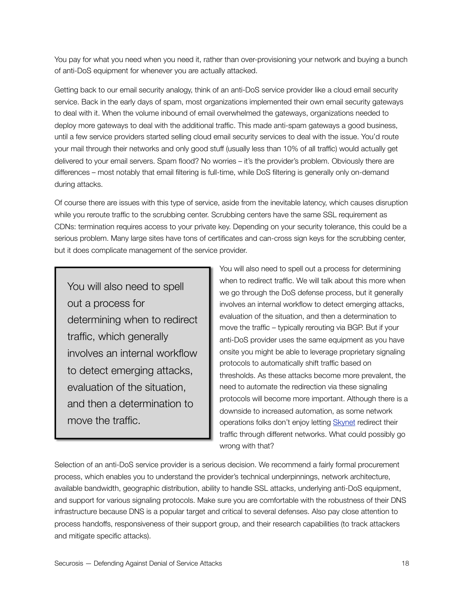You pay for what you need when you need it, rather than over-provisioning your network and buying a bunch of anti-DoS equipment for whenever you are actually attacked.

Getting back to our email security analogy, think of an anti-DoS service provider like a cloud email security service. Back in the early days of spam, most organizations implemented their own email security gateways to deal with it. When the volume inbound of email overwhelmed the gateways, organizations needed to deploy more gateways to deal with the additional traffic. This made anti-spam gateways a good business, until a few service providers started selling cloud email security services to deal with the issue. You'd route your mail through their networks and only good stuff (usually less than 10% of all traffic) would actually get delivered to your email servers. Spam flood? No worries – it's the provider's problem. Obviously there are differences – most notably that email filtering is full-time, while DoS filtering is generally only on-demand during attacks.

Of course there are issues with this type of service, aside from the inevitable latency, which causes disruption while you reroute traffic to the scrubbing center. Scrubbing centers have the same SSL requirement as CDNs: termination requires access to your private key. Depending on your security tolerance, this could be a serious problem. Many large sites have tons of certificates and can-cross sign keys for the scrubbing center, but it does complicate management of the service provider.

You will also need to spell out a process for determining when to redirect traffic, which generally involves an internal workflow to detect emerging attacks, evaluation of the situation, and then a determination to move the traffic.

You will also need to spell out a process for determining when to redirect traffic. We will talk about this more when we go through the DoS defense process, but it generally involves an internal workflow to detect emerging attacks, evaluation of the situation, and then a determination to move the traffic – typically rerouting via BGP. But if your anti-DoS provider uses the same equipment as you have onsite you might be able to leverage proprietary signaling protocols to automatically shift traffic based on thresholds. As these attacks become more prevalent, the need to automate the redirection via these signaling protocols will become more important. Although there is a downside to increased automation, as some network operations folks don't enjoy letting [Skynet](http://en.wikipedia.org/wiki/Skynet_(Terminator)) redirect their traffic through different networks. What could possibly go wrong with that?

Selection of an anti-DoS service provider is a serious decision. We recommend a fairly formal procurement process, which enables you to understand the provider's technical underpinnings, network architecture, available bandwidth, geographic distribution, ability to handle SSL attacks, underlying anti-DoS equipment, and support for various signaling protocols. Make sure you are comfortable with the robustness of their DNS infrastructure because DNS is a popular target and critical to several defenses. Also pay close attention to process handoffs, responsiveness of their support group, and their research capabilities (to track attackers and mitigate specific attacks).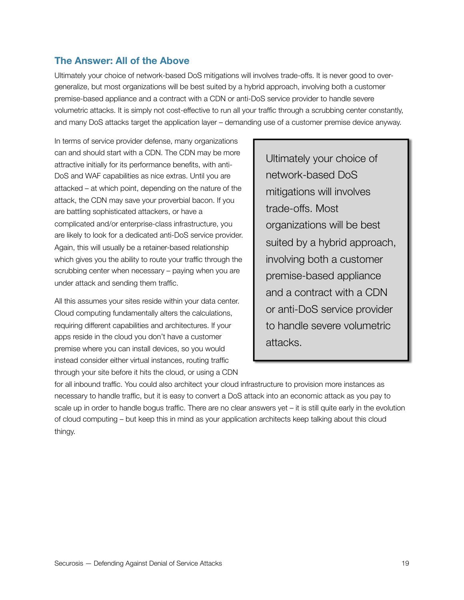#### **The Answer: All of the Above**

Ultimately your choice of network-based DoS mitigations will involves trade-offs. It is never good to overgeneralize, but most organizations will be best suited by a hybrid approach, involving both a customer premise-based appliance and a contract with a CDN or anti-DoS service provider to handle severe volumetric attacks. It is simply not cost-effective to run all your traffic through a scrubbing center constantly, and many DoS attacks target the application layer – demanding use of a customer premise device anyway.

In terms of service provider defense, many organizations can and should start with a CDN. The CDN may be more attractive initially for its performance benefits, with anti-DoS and WAF capabilities as nice extras. Until you are attacked – at which point, depending on the nature of the attack, the CDN may save your proverbial bacon. If you are battling sophisticated attackers, or have a complicated and/or enterprise-class infrastructure, you are likely to look for a dedicated anti-DoS service provider. Again, this will usually be a retainer-based relationship which gives you the ability to route your traffic through the scrubbing center when necessary – paying when you are under attack and sending them traffic.

All this assumes your sites reside within your data center. Cloud computing fundamentally alters the calculations, requiring different capabilities and architectures. If your apps reside in the cloud you don't have a customer premise where you can install devices, so you would instead consider either virtual instances, routing traffic through your site before it hits the cloud, or using a CDN

Ultimately your choice of network-based DoS mitigations will involves trade-offs. Most organizations will be best suited by a hybrid approach, involving both a customer premise-based appliance and a contract with a CDN or anti-DoS service provider to handle severe volumetric attacks.

for all inbound traffic. You could also architect your cloud infrastructure to provision more instances as necessary to handle traffic, but it is easy to convert a DoS attack into an economic attack as you pay to scale up in order to handle bogus traffic. There are no clear answers yet – it is still quite early in the evolution of cloud computing – but keep this in mind as your application architects keep talking about this cloud thingy.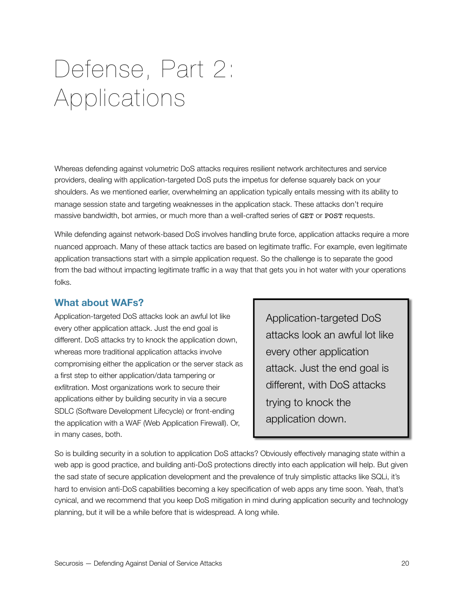# <span id="page-19-0"></span>Defense, Part 2: Applications

Whereas defending against volumetric DoS attacks requires resilient network architectures and service providers, dealing with application-targeted DoS puts the impetus for defense squarely back on your shoulders. As we mentioned earlier, overwhelming an application typically entails messing with its ability to manage session state and targeting weaknesses in the application stack. These attacks don't require massive bandwidth, bot armies, or much more than a well-crafted series of GET or POST requests.

While defending against network-based DoS involves handling brute force, application attacks require a more nuanced approach. Many of these attack tactics are based on legitimate traffic. For example, even legitimate application transactions start with a simple application request. So the challenge is to separate the good from the bad without impacting legitimate traffic in a way that that gets you in hot water with your operations folks.

### **What about WAFs?**

Application-targeted DoS attacks look an awful lot like every other application attack. Just the end goal is different. DoS attacks try to knock the application down, whereas more traditional application attacks involve compromising either the application or the server stack as a first step to either application/data tampering or exfiltration. Most organizations work to secure their applications either by building security in via a secure SDLC (Software Development Lifecycle) or front-ending the application with a WAF (Web Application Firewall). Or, in many cases, both.

Application-targeted DoS attacks look an awful lot like every other application attack. Just the end goal is different, with DoS attacks trying to knock the application down.

So is building security in a solution to application DoS attacks? Obviously effectively managing state within a web app is good practice, and building anti-DoS protections directly into each application will help. But given the sad state of secure application development and the prevalence of truly simplistic attacks like SQLi, it's hard to envision anti-DoS capabilities becoming a key specification of web apps any time soon. Yeah, that's cynical, and we recommend that you keep DoS mitigation in mind during application security and technology planning, but it will be a while before that is widespread. A long while.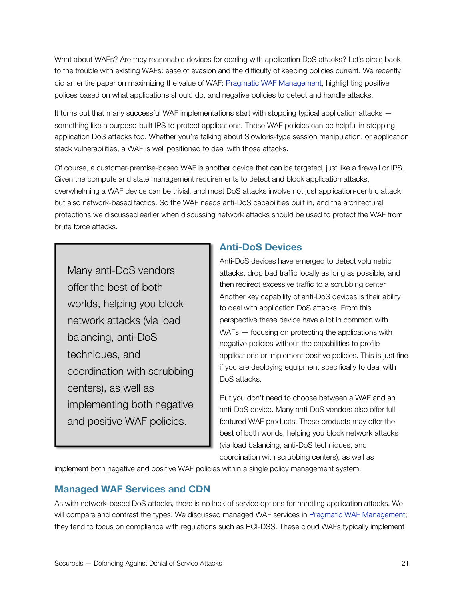What about WAFs? Are they reasonable devices for dealing with application DoS attacks? Let's circle back to the trouble with existing WAFs: ease of evasion and the difficulty of keeping policies current. We recently did an entire paper on maximizing the value of WAF: [Pragmatic WAF Management,](https://securosis.com/research/publication/pragmatic-waf-management-giving-web-apps-a-fighting-chance) highlighting positive polices based on what applications should do, and negative policies to detect and handle attacks.

It turns out that many successful WAF implementations start with stopping typical application attacks – something like a purpose-built IPS to protect applications. Those WAF policies can be helpful in stopping application DoS attacks too. Whether you're talking about Slowloris-type session manipulation, or application stack vulnerabilities, a WAF is well positioned to deal with those attacks.

Of course, a customer-premise-based WAF is another device that can be targeted, just like a firewall or IPS. Given the compute and state management requirements to detect and block application attacks, overwhelming a WAF device can be trivial, and most DoS attacks involve not just application-centric attack but also network-based tactics. So the WAF needs anti-DoS capabilities built in, and the architectural protections we discussed earlier when discussing network attacks should be used to protect the WAF from brute force attacks.

Many anti-DoS vendors offer the best of both worlds, helping you block network attacks (via load balancing, anti-DoS techniques, and coordination with scrubbing centers), as well as implementing both negative and positive WAF policies.

### **Anti-DoS Devices**

Anti-DoS devices have emerged to detect volumetric attacks, drop bad traffic locally as long as possible, and then redirect excessive traffic to a scrubbing center. Another key capability of anti-DoS devices is their ability to deal with application DoS attacks. From this perspective these device have a lot in common with WAFs – focusing on protecting the applications with negative policies without the capabilities to profile applications or implement positive policies. This is just fine if you are deploying equipment specifically to deal with DoS attacks.

But you don't need to choose between a WAF and an anti-DoS device. Many anti-DoS vendors also offer fullfeatured WAF products. These products may offer the best of both worlds, helping you block network attacks (via load balancing, anti-DoS techniques, and coordination with scrubbing centers), as well as

implement both negative and positive WAF policies within a single policy management system.

# **Managed WAF Services and CDN**

As with network-based DoS attacks, there is no lack of service options for handling application attacks. We will compare and contrast the types. We discussed managed WAF services in [Pragmatic WAF Management;](https://securosis.com/Research/Publication/pragmatic-waf-management-giving-web-apps-a-fighting-chance) they tend to focus on compliance with regulations such as PCI-DSS. These cloud WAFs typically implement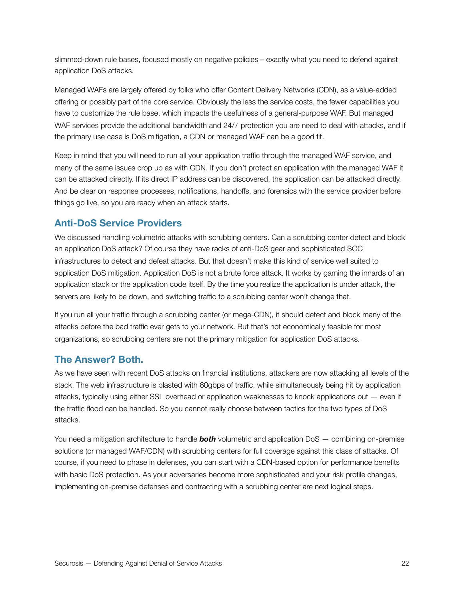slimmed-down rule bases, focused mostly on negative policies – exactly what you need to defend against application DoS attacks.

Managed WAFs are largely offered by folks who offer Content Delivery Networks (CDN), as a value-added offering or possibly part of the core service. Obviously the less the service costs, the fewer capabilities you have to customize the rule base, which impacts the usefulness of a general-purpose WAF. But managed WAF services provide the additional bandwidth and 24/7 protection you are need to deal with attacks, and if the primary use case is DoS mitigation, a CDN or managed WAF can be a good fit.

Keep in mind that you will need to run all your application traffic through the managed WAF service, and many of the same issues crop up as with CDN. If you don't protect an application with the managed WAF it can be attacked directly. If its direct IP address can be discovered, the application can be attacked directly. And be clear on response processes, notifications, handoffs, and forensics with the service provider before things go live, so you are ready when an attack starts.

# **Anti-DoS Service Providers**

We discussed handling volumetric attacks with scrubbing centers. Can a scrubbing center detect and block an application DoS attack? Of course they have racks of anti-DoS gear and sophisticated SOC infrastructures to detect and defeat attacks. But that doesn't make this kind of service well suited to application DoS mitigation. Application DoS is not a brute force attack. It works by gaming the innards of an application stack or the application code itself. By the time you realize the application is under attack, the servers are likely to be down, and switching traffic to a scrubbing center won't change that.

If you run all your traffic through a scrubbing center (or mega-CDN), it should detect and block many of the attacks before the bad traffic ever gets to your network. But that's not economically feasible for most organizations, so scrubbing centers are not the primary mitigation for application DoS attacks.

# **The Answer? Both.**

As we have seen with recent DoS attacks on financial institutions, attackers are now attacking all levels of the stack. The web infrastructure is blasted with 60gbps of traffic, while simultaneously being hit by application attacks, typically using either SSL overhead or application weaknesses to knock applications out — even if the traffic flood can be handled. So you cannot really choose between tactics for the two types of DoS attacks.

You need a mitigation architecture to handle *both* volumetric and application DoS — combining on-premise solutions (or managed WAF/CDN) with scrubbing centers for full coverage against this class of attacks. Of course, if you need to phase in defenses, you can start with a CDN-based option for performance benefits with basic DoS protection. As your adversaries become more sophisticated and your risk profile changes, implementing on-premise defenses and contracting with a scrubbing center are next logical steps.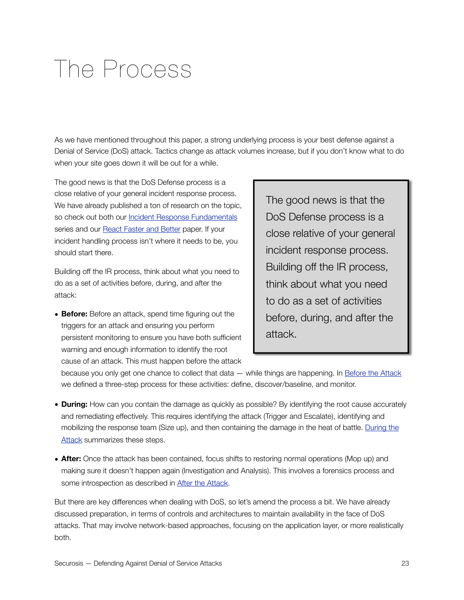# <span id="page-22-0"></span>The Process

As we have mentioned throughout this paper, a strong underlying process is your best defense against a Denial of Service (DoS) attack. Tactics change as attack volumes increase, but if you don't know what to do when your site goes down it will be out for a while.

The good news is that the DoS Defense process is a close relative of your general incident response process. We have already published a ton of research on the topic, so check out both our **[Incident Response Fundamentals](https://securosis.com/blog/incident-response-fundamentals-index-of-posts)** series and our **[React Faster and Better](https://securosis.com/blog/new-white-paper-react-faster-and-better-new-approaches-for-advanced-inciden)** paper. If your incident handling process isn't where it needs to be, you should start there.

Building off the IR process, think about what you need to do as a set of activities before, during, and after the attack:

• **Before:** Before an attack, spend time figuring out the triggers for an attack and ensuring you perform persistent monitoring to ensure you have both sufficient warning and enough information to identify the root cause of an attack. This must happen before the attack

The good news is that the DoS Defense process is a close relative of your general incident response process. Building off the IR process, think about what you need to do as a set of activities before, during, and after the attack.

because you only get one chance to collect that data — while things are happening. In [Before the Attack](https://securosis.com/blog/comments/incident-response-fundamentals-before-the-attack/) we defined a three-step process for these activities: define, discover/baseline, and monitor.

- **During:** How can you contain the damage as quickly as possible? By identifying the root cause accurately and remediating effectively. This requires identifying the attack (Trigger and Escalate), identifying and mobilizing the response team (Size up), and then containing the damage in the heat of battle. [During the](https://securosis.com/blog/comments/incident-response-fundamentals-trigger-escalate-and-size-up/)  [Attack](https://securosis.com/blog/comments/incident-response-fundamentals-trigger-escalate-and-size-up/) summarizes these steps.
- **After:** Once the attack has been contained, focus shifts to restoring normal operations (Mop up) and making sure it doesn't happen again (Investigation and Analysis). This involves a forensics process and some introspection as described in [After the Attack.](https://securosis.com/blog/comments/incident-response-fundamentals-mop-up-analyze-and-qa/)

But there are key differences when dealing with DoS, so let's amend the process a bit. We have already discussed preparation, in terms of controls and architectures to maintain availability in the face of DoS attacks. That may involve network-based approaches, focusing on the application layer, or more realistically both.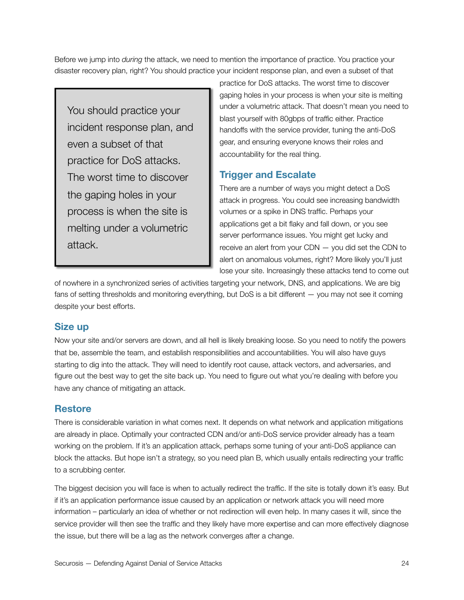Before we jump into *during* the attack, we need to mention the importance of practice. You practice your disaster recovery plan, right? You should practice your incident response plan, and even a subset of that

You should practice your incident response plan, and even a subset of that practice for DoS attacks. The worst time to discover the gaping holes in your process is when the site is melting under a volumetric attack.

practice for DoS attacks. The worst time to discover gaping holes in your process is when your site is melting under a volumetric attack. That doesn't mean you need to blast yourself with 80gbps of traffic either. Practice handoffs with the service provider, tuning the anti-DoS gear, and ensuring everyone knows their roles and accountability for the real thing.

### **Trigger and Escalate**

There are a number of ways you might detect a DoS attack in progress. You could see increasing bandwidth volumes or a spike in DNS traffic. Perhaps your applications get a bit flaky and fall down, or you see server performance issues. You might get lucky and receive an alert from your CDN — you did set the CDN to alert on anomalous volumes, right? More likely you'll just lose your site. Increasingly these attacks tend to come out

of nowhere in a synchronized series of activities targeting your network, DNS, and applications. We are big fans of setting thresholds and monitoring everything, but DoS is a bit different — you may not see it coming despite your best efforts.

# **Size up**

Now your site and/or servers are down, and all hell is likely breaking loose. So you need to notify the powers that be, assemble the team, and establish responsibilities and accountabilities. You will also have guys starting to dig into the attack. They will need to identify root cause, attack vectors, and adversaries, and figure out the best way to get the site back up. You need to figure out what you're dealing with before you have any chance of mitigating an attack.

# **Restore**

There is considerable variation in what comes next. It depends on what network and application mitigations are already in place. Optimally your contracted CDN and/or anti-DoS service provider already has a team working on the problem. If it's an application attack, perhaps some tuning of your anti-DoS appliance can block the attacks. But hope isn't a strategy, so you need plan B, which usually entails redirecting your traffic to a scrubbing center.

The biggest decision you will face is when to actually redirect the traffic. If the site is totally down it's easy. But if it's an application performance issue caused by an application or network attack you will need more information – particularly an idea of whether or not redirection will even help. In many cases it will, since the service provider will then see the traffic and they likely have more expertise and can more effectively diagnose the issue, but there will be a lag as the network converges after a change.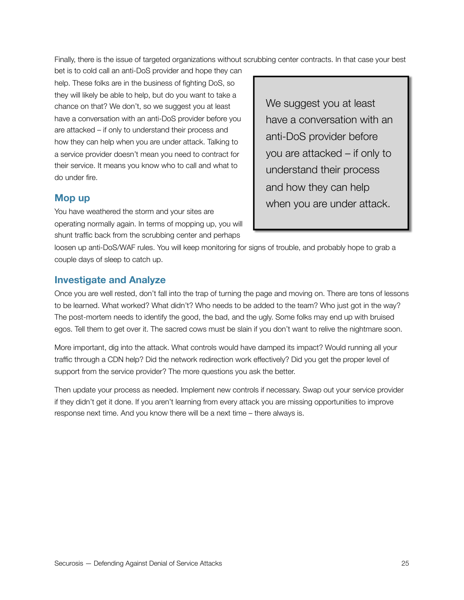Finally, there is the issue of targeted organizations without scrubbing center contracts. In that case your best

bet is to cold call an anti-DoS provider and hope they can help. These folks are in the business of fighting DoS, so they will likely be able to help, but do you want to take a chance on that? We don't, so we suggest you at least have a conversation with an anti-DoS provider before you are attacked – if only to understand their process and how they can help when you are under attack. Talking to a service provider doesn't mean you need to contract for their service. It means you know who to call and what to do under fire.

#### **Mop up**

You have weathered the storm and your sites are operating normally again. In terms of mopping up, you will shunt traffic back from the scrubbing center and perhaps

We suggest you at least have a conversation with an anti-DoS provider before you are attacked – if only to understand their process and how they can help when you are under attack.

loosen up anti-DoS/WAF rules. You will keep monitoring for signs of trouble, and probably hope to grab a couple days of sleep to catch up.

#### **Investigate and Analyze**

Once you are well rested, don't fall into the trap of turning the page and moving on. There are tons of lessons to be learned. What worked? What didn't? Who needs to be added to the team? Who just got in the way? The post-mortem needs to identify the good, the bad, and the ugly. Some folks may end up with bruised egos. Tell them to get over it. The sacred cows must be slain if you don't want to relive the nightmare soon.

More important, dig into the attack. What controls would have damped its impact? Would running all your traffic through a CDN help? Did the network redirection work effectively? Did you get the proper level of support from the service provider? The more questions you ask the better.

Then update your process as needed. Implement new controls if necessary. Swap out your service provider if they didn't get it done. If you aren't learning from every attack you are missing opportunities to improve response next time. And you know there will be a next time – there always is.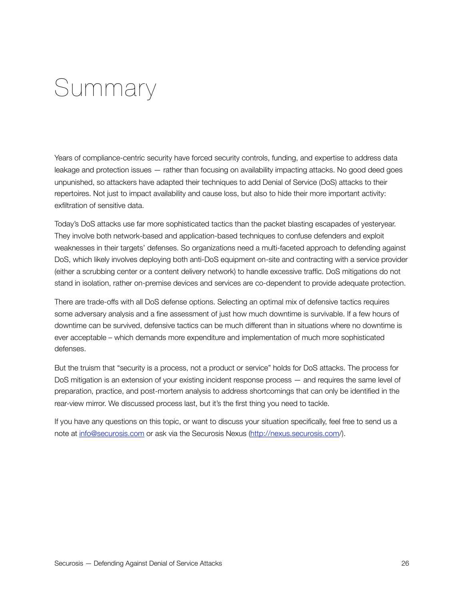# <span id="page-25-0"></span>Summary

Years of compliance-centric security have forced security controls, funding, and expertise to address data leakage and protection issues — rather than focusing on availability impacting attacks. No good deed goes unpunished, so attackers have adapted their techniques to add Denial of Service (DoS) attacks to their repertoires. Not just to impact availability and cause loss, but also to hide their more important activity: exfiltration of sensitive data.

Today's DoS attacks use far more sophisticated tactics than the packet blasting escapades of yesteryear. They involve both network-based and application-based techniques to confuse defenders and exploit weaknesses in their targets' defenses. So organizations need a multi-faceted approach to defending against DoS, which likely involves deploying both anti-DoS equipment on-site and contracting with a service provider (either a scrubbing center or a content delivery network) to handle excessive traffic. DoS mitigations do not stand in isolation, rather on-premise devices and services are co-dependent to provide adequate protection.

There are trade-offs with all DoS defense options. Selecting an optimal mix of defensive tactics requires some adversary analysis and a fine assessment of just how much downtime is survivable. If a few hours of downtime can be survived, defensive tactics can be much different than in situations where no downtime is ever acceptable – which demands more expenditure and implementation of much more sophisticated defenses.

But the truism that "security is a process, not a product or service" holds for DoS attacks. The process for DoS mitigation is an extension of your existing incident response process — and requires the same level of preparation, practice, and post-mortem analysis to address shortcomings that can only be identified in the rear-view mirror. We discussed process last, but it's the first thing you need to tackle.

If you have any questions on this topic, or want to discuss your situation specifically, feel free to send us a note at [info@securosis.com](mailto:?subject=) or ask via the Securosis Nexus ([http://nexus.securosis.com/](http://nexus.securosis.com)).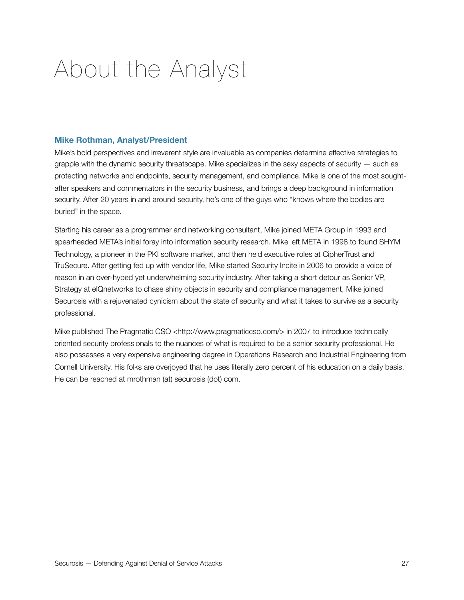# <span id="page-26-0"></span>About the Analyst

#### **Mike Rothman, Analyst/President**

Mike's bold perspectives and irreverent style are invaluable as companies determine effective strategies to grapple with the dynamic security threatscape. Mike specializes in the sexy aspects of security  $-$  such as protecting networks and endpoints, security management, and compliance. Mike is one of the most soughtafter speakers and commentators in the security business, and brings a deep background in information security. After 20 years in and around security, he's one of the guys who "knows where the bodies are buried" in the space.

Starting his career as a programmer and networking consultant, Mike joined META Group in 1993 and spearheaded META's initial foray into information security research. Mike left META in 1998 to found SHYM Technology, a pioneer in the PKI software market, and then held executive roles at CipherTrust and TruSecure. After getting fed up with vendor life, Mike started Security Incite in 2006 to provide a voice of reason in an over-hyped yet underwhelming security industry. After taking a short detour as Senior VP, Strategy at eIQnetworks to chase shiny objects in security and compliance management, Mike joined Securosis with a rejuvenated cynicism about the state of security and what it takes to survive as a security professional.

Mike published [The Pragmatic CSO](http://www.pragmaticcso.com) <<http://www.pragmaticcso.com/>> in 2007 to introduce technically oriented security professionals to the nuances of what is required to be a senior security professional. He also possesses a very expensive engineering degree in Operations Research and Industrial Engineering from Cornell University. His folks are overjoyed that he uses literally zero percent of his education on a daily basis. He can be reached at mrothman (at) securosis (dot) com.